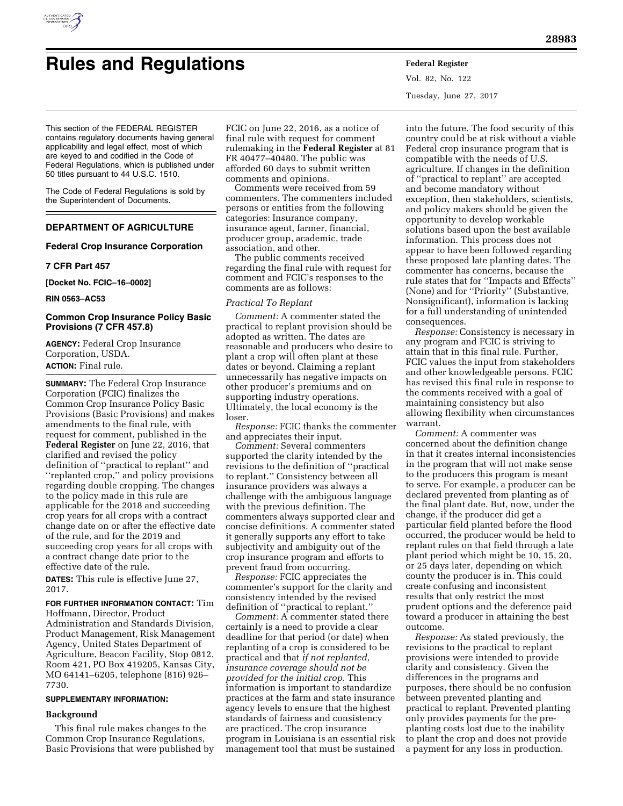

# **Rules and Regulations Federal Register**

Vol. 82, No. 122 Tuesday, June 27, 2017

This section of the FEDERAL REGISTER contains regulatory documents having general applicability and legal effect, most of which are keyed to and codified in the Code of Federal Regulations, which is published under 50 titles pursuant to 44 U.S.C. 1510.

The Code of Federal Regulations is sold by the Superintendent of Documents.

# **DEPARTMENT OF AGRICULTURE**

# **Federal Crop Insurance Corporation**

## **7 CFR Part 457**

**[Docket No. FCIC–16–0002]** 

**RIN 0563–AC53** 

# **Common Crop Insurance Policy Basic Provisions (7 CFR 457.8)**

**AGENCY:** Federal Crop Insurance Corporation, USDA. **ACTION:** Final rule.

**SUMMARY:** The Federal Crop Insurance Corporation (FCIC) finalizes the Common Crop Insurance Policy Basic Provisions (Basic Provisions) and makes amendments to the final rule, with request for comment, published in the **Federal Register** on June 22, 2016, that clarified and revised the policy definition of ''practical to replant'' and ''replanted crop,'' and policy provisions regarding double cropping. The changes to the policy made in this rule are applicable for the 2018 and succeeding crop years for all crops with a contract change date on or after the effective date of the rule, and for the 2019 and succeeding crop years for all crops with a contract change date prior to the effective date of the rule.

**DATES:** This rule is effective June 27, 2017.

#### **FOR FURTHER INFORMATION CONTACT:** Tim Hoffmann, Director, Product

Administration and Standards Division, Product Management, Risk Management Agency, United States Department of Agriculture, Beacon Facility, Stop 0812, Room 421, PO Box 419205, Kansas City, MO 64141–6205, telephone (816) 926– 7730.

## **SUPPLEMENTARY INFORMATION:**

## **Background**

This final rule makes changes to the Common Crop Insurance Regulations, Basic Provisions that were published by

FCIC on June 22, 2016, as a notice of final rule with request for comment rulemaking in the **Federal Register** at 81 FR 40477–40480. The public was afforded 60 days to submit written comments and opinions.

Comments were received from 59 commenters. The commenters included persons or entities from the following categories: Insurance company, insurance agent, farmer, financial, producer group, academic, trade association, and other.

The public comments received regarding the final rule with request for comment and FCIC's responses to the comments are as follows:

## *Practical To Replant*

*Comment:* A commenter stated the practical to replant provision should be adopted as written. The dates are reasonable and producers who desire to plant a crop will often plant at these dates or beyond. Claiming a replant unnecessarily has negative impacts on other producer's premiums and on supporting industry operations. Ultimately, the local economy is the loser.

*Response:* FCIC thanks the commenter and appreciates their input.

*Comment:* Several commenters supported the clarity intended by the revisions to the definition of ''practical to replant.'' Consistency between all insurance providers was always a challenge with the ambiguous language with the previous definition. The commenters always supported clear and concise definitions. A commenter stated it generally supports any effort to take subjectivity and ambiguity out of the crop insurance program and efforts to prevent fraud from occurring.

*Response:* FCIC appreciates the commenter's support for the clarity and consistency intended by the revised definition of ''practical to replant.''

*Comment:* A commenter stated there certainly is a need to provide a clear deadline for that period (or date) when replanting of a crop is considered to be practical and that *if not replanted, insurance coverage should not be provided for the initial crop.* This information is important to standardize practices at the farm and state insurance agency levels to ensure that the highest standards of fairness and consistency are practiced. The crop insurance program in Louisiana is an essential risk management tool that must be sustained

into the future. The food security of this country could be at risk without a viable Federal crop insurance program that is compatible with the needs of U.S. agriculture. If changes in the definition of ''practical to replant'' are accepted and become mandatory without exception, then stakeholders, scientists, and policy makers should be given the opportunity to develop workable solutions based upon the best available information. This process does not appear to have been followed regarding these proposed late planting dates. The commenter has concerns, because the rule states that for ''Impacts and Effects'' (None) and for ''Priority'' (Substantive, Nonsignificant), information is lacking for a full understanding of unintended consequences.

*Response:* Consistency is necessary in any program and FCIC is striving to attain that in this final rule. Further, FCIC values the input from stakeholders and other knowledgeable persons. FCIC has revised this final rule in response to the comments received with a goal of maintaining consistency but also allowing flexibility when circumstances warrant.

*Comment:* A commenter was concerned about the definition change in that it creates internal inconsistencies in the program that will not make sense to the producers this program is meant to serve. For example, a producer can be declared prevented from planting as of the final plant date. But, now, under the change, if the producer did get a particular field planted before the flood occurred, the producer would be held to replant rules on that field through a late plant period which might be 10, 15, 20, or 25 days later, depending on which county the producer is in. This could create confusing and inconsistent results that only restrict the most prudent options and the deference paid toward a producer in attaining the best outcome.

*Response:* As stated previously, the revisions to the practical to replant provisions were intended to provide clarity and consistency. Given the differences in the programs and purposes, there should be no confusion between prevented planting and practical to replant. Prevented planting only provides payments for the preplanting costs lost due to the inability to plant the crop and does not provide a payment for any loss in production.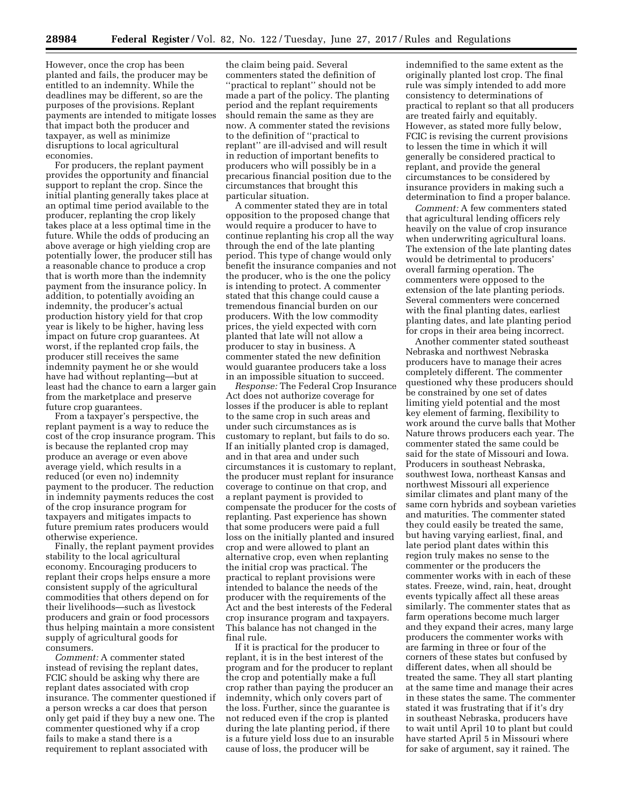However, once the crop has been planted and fails, the producer may be entitled to an indemnity. While the deadlines may be different, so are the purposes of the provisions. Replant payments are intended to mitigate losses that impact both the producer and taxpayer, as well as minimize disruptions to local agricultural economies.

For producers, the replant payment provides the opportunity and financial support to replant the crop. Since the initial planting generally takes place at an optimal time period available to the producer, replanting the crop likely takes place at a less optimal time in the future. While the odds of producing an above average or high yielding crop are potentially lower, the producer still has a reasonable chance to produce a crop that is worth more than the indemnity payment from the insurance policy. In addition, to potentially avoiding an indemnity, the producer's actual production history yield for that crop year is likely to be higher, having less impact on future crop guarantees. At worst, if the replanted crop fails, the producer still receives the same indemnity payment he or she would have had without replanting—but at least had the chance to earn a larger gain from the marketplace and preserve future crop guarantees.

From a taxpayer's perspective, the replant payment is a way to reduce the cost of the crop insurance program. This is because the replanted crop may produce an average or even above average yield, which results in a reduced (or even no) indemnity payment to the producer. The reduction in indemnity payments reduces the cost of the crop insurance program for taxpayers and mitigates impacts to future premium rates producers would otherwise experience.

Finally, the replant payment provides stability to the local agricultural economy. Encouraging producers to replant their crops helps ensure a more consistent supply of the agricultural commodities that others depend on for their livelihoods—such as livestock producers and grain or food processors thus helping maintain a more consistent supply of agricultural goods for consumers.

*Comment:* A commenter stated instead of revising the replant dates, FCIC should be asking why there are replant dates associated with crop insurance. The commenter questioned if a person wrecks a car does that person only get paid if they buy a new one. The commenter questioned why if a crop fails to make a stand there is a requirement to replant associated with

the claim being paid. Several commenters stated the definition of ''practical to replant'' should not be made a part of the policy. The planting period and the replant requirements should remain the same as they are now. A commenter stated the revisions to the definition of ''practical to replant'' are ill-advised and will result in reduction of important benefits to producers who will possibly be in a precarious financial position due to the circumstances that brought this particular situation.

A commenter stated they are in total opposition to the proposed change that would require a producer to have to continue replanting his crop all the way through the end of the late planting period. This type of change would only benefit the insurance companies and not the producer, who is the one the policy is intending to protect. A commenter stated that this change could cause a tremendous financial burden on our producers. With the low commodity prices, the yield expected with corn planted that late will not allow a producer to stay in business. A commenter stated the new definition would guarantee producers take a loss in an impossible situation to succeed.

*Response:* The Federal Crop Insurance Act does not authorize coverage for losses if the producer is able to replant to the same crop in such areas and under such circumstances as is customary to replant, but fails to do so. If an initially planted crop is damaged, and in that area and under such circumstances it is customary to replant, the producer must replant for insurance coverage to continue on that crop, and a replant payment is provided to compensate the producer for the costs of replanting. Past experience has shown that some producers were paid a full loss on the initially planted and insured crop and were allowed to plant an alternative crop, even when replanting the initial crop was practical. The practical to replant provisions were intended to balance the needs of the producer with the requirements of the Act and the best interests of the Federal crop insurance program and taxpayers. This balance has not changed in the final rule.

If it is practical for the producer to replant, it is in the best interest of the program and for the producer to replant the crop and potentially make a full crop rather than paying the producer an indemnity, which only covers part of the loss. Further, since the guarantee is not reduced even if the crop is planted during the late planting period, if there is a future yield loss due to an insurable cause of loss, the producer will be

indemnified to the same extent as the originally planted lost crop. The final rule was simply intended to add more consistency to determinations of practical to replant so that all producers are treated fairly and equitably. However, as stated more fully below, FCIC is revising the current provisions to lessen the time in which it will generally be considered practical to replant, and provide the general circumstances to be considered by insurance providers in making such a determination to find a proper balance.

*Comment:* A few commenters stated that agricultural lending officers rely heavily on the value of crop insurance when underwriting agricultural loans. The extension of the late planting dates would be detrimental to producers' overall farming operation. The commenters were opposed to the extension of the late planting periods. Several commenters were concerned with the final planting dates, earliest planting dates, and late planting period for crops in their area being incorrect.

Another commenter stated southeast Nebraska and northwest Nebraska producers have to manage their acres completely different. The commenter questioned why these producers should be constrained by one set of dates limiting yield potential and the most key element of farming, flexibility to work around the curve balls that Mother Nature throws producers each year. The commenter stated the same could be said for the state of Missouri and Iowa. Producers in southeast Nebraska, southwest Iowa, northeast Kansas and northwest Missouri all experience similar climates and plant many of the same corn hybrids and soybean varieties and maturities. The commenter stated they could easily be treated the same, but having varying earliest, final, and late period plant dates within this region truly makes no sense to the commenter or the producers the commenter works with in each of these states. Freeze, wind, rain, heat, drought events typically affect all these areas similarly. The commenter states that as farm operations become much larger and they expand their acres, many large producers the commenter works with are farming in three or four of the corners of these states but confused by different dates, when all should be treated the same. They all start planting at the same time and manage their acres in these states the same. The commenter stated it was frustrating that if it's dry in southeast Nebraska, producers have to wait until April 10 to plant but could have started April 5 in Missouri where for sake of argument, say it rained. The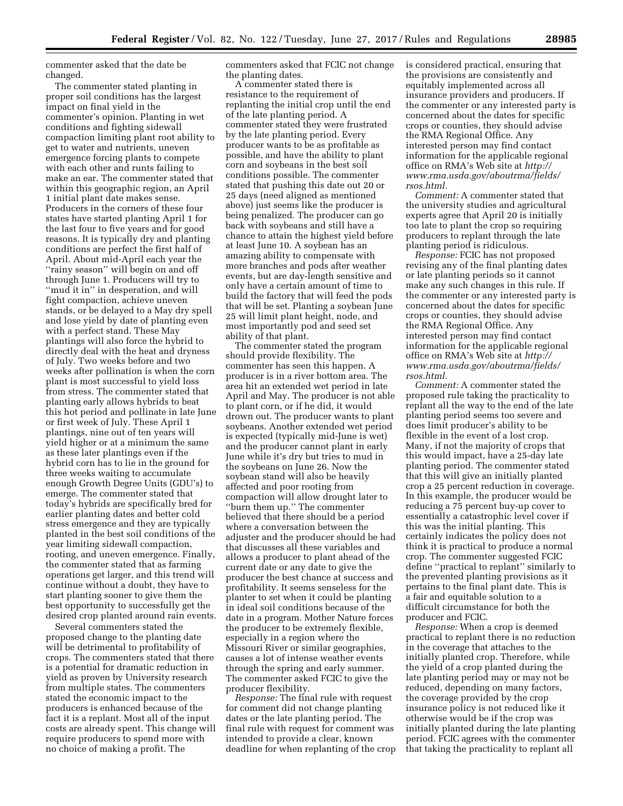commenter asked that the date be changed.

The commenter stated planting in proper soil conditions has the largest impact on final yield in the commenter's opinion. Planting in wet conditions and fighting sidewall compaction limiting plant root ability to get to water and nutrients, uneven emergence forcing plants to compete with each other and runts failing to make an ear. The commenter stated that within this geographic region, an April 1 initial plant date makes sense. Producers in the corners of these four states have started planting April 1 for the last four to five years and for good reasons. It is typically dry and planting conditions are perfect the first half of April. About mid-April each year the ''rainy season'' will begin on and off through June 1. Producers will try to ''mud it in'' in desperation, and will fight compaction, achieve uneven stands, or be delayed to a May dry spell and lose yield by date of planting even with a perfect stand. These May plantings will also force the hybrid to directly deal with the heat and dryness of July. Two weeks before and two weeks after pollination is when the corn plant is most successful to yield loss from stress. The commenter stated that planting early allows hybrids to beat this hot period and pollinate in late June or first week of July. These April 1 plantings, nine out of ten years will yield higher or at a minimum the same as these later plantings even if the hybrid corn has to lie in the ground for three weeks waiting to accumulate enough Growth Degree Units (GDU's) to emerge. The commenter stated that today's hybrids are specifically bred for earlier planting dates and better cold stress emergence and they are typically planted in the best soil conditions of the year limiting sidewall compaction, rooting, and uneven emergence. Finally, the commenter stated that as farming operations get larger, and this trend will continue without a doubt, they have to start planting sooner to give them the best opportunity to successfully get the desired crop planted around rain events.

Several commenters stated the proposed change to the planting date will be detrimental to profitability of crops. The commenters stated that there is a potential for dramatic reduction in yield as proven by University research from multiple states. The commenters stated the economic impact to the producers is enhanced because of the fact it is a replant. Most all of the input costs are already spent. This change will require producers to spend more with no choice of making a profit. The

commenters asked that FCIC not change the planting dates.

A commenter stated there is resistance to the requirement of replanting the initial crop until the end of the late planting period. A commenter stated they were frustrated by the late planting period. Every producer wants to be as profitable as possible, and have the ability to plant corn and soybeans in the best soil conditions possible. The commenter stated that pushing this date out 20 or 25 days (need aligned as mentioned above) just seems like the producer is being penalized. The producer can go back with soybeans and still have a chance to attain the highest yield before at least June 10. A soybean has an amazing ability to compensate with more branches and pods after weather events, but are day-length sensitive and only have a certain amount of time to build the factory that will feed the pods that will be set. Planting a soybean June 25 will limit plant height, node, and most importantly pod and seed set ability of that plant.

The commenter stated the program should provide flexibility. The commenter has seen this happen. A producer is in a river bottom area. The area hit an extended wet period in late April and May. The producer is not able to plant corn, or if he did, it would drown out. The producer wants to plant soybeans. Another extended wet period is expected (typically mid-June is wet) and the producer cannot plant in early June while it's dry but tries to mud in the soybeans on June 26. Now the soybean stand will also be heavily affected and poor rooting from compaction will allow drought later to ''burn them up.'' The commenter believed that there should be a period where a conversation between the adjuster and the producer should be had that discusses all these variables and allows a producer to plant ahead of the current date or any date to give the producer the best chance at success and profitability. It seems senseless for the planter to set when it could be planting in ideal soil conditions because of the date in a program. Mother Nature forces the producer to be extremely flexible, especially in a region where the Missouri River or similar geographies, causes a lot of intense weather events through the spring and early summer. The commenter asked FCIC to give the producer flexibility.

*Response:* The final rule with request for comment did not change planting dates or the late planting period. The final rule with request for comment was intended to provide a clear, known deadline for when replanting of the crop is considered practical, ensuring that the provisions are consistently and equitably implemented across all insurance providers and producers. If the commenter or any interested party is concerned about the dates for specific crops or counties, they should advise the RMA Regional Office. Any interested person may find contact information for the applicable regional office on RMA's Web site at *[http://](http://www.rma.usda.gov/aboutrma/fields/rsos.html) [www.rma.usda.gov/aboutrma/fields/](http://www.rma.usda.gov/aboutrma/fields/rsos.html)  [rsos.html.](http://www.rma.usda.gov/aboutrma/fields/rsos.html)* 

*Comment:* A commenter stated that the university studies and agricultural experts agree that April 20 is initially too late to plant the crop so requiring producers to replant through the late planting period is ridiculous.

*Response:* FCIC has not proposed revising any of the final planting dates or late planting periods so it cannot make any such changes in this rule. If the commenter or any interested party is concerned about the dates for specific crops or counties, they should advise the RMA Regional Office. Any interested person may find contact information for the applicable regional office on RMA's Web site at *[http://](http://www.rma.usda.gov/aboutrma/fields/rsos.html) [www.rma.usda.gov/aboutrma/fields/](http://www.rma.usda.gov/aboutrma/fields/rsos.html)  [rsos.html.](http://www.rma.usda.gov/aboutrma/fields/rsos.html)* 

*Comment:* A commenter stated the proposed rule taking the practicality to replant all the way to the end of the late planting period seems too severe and does limit producer's ability to be flexible in the event of a lost crop. Many, if not the majority of crops that this would impact, have a 25-day late planting period. The commenter stated that this will give an initially planted crop a 25 percent reduction in coverage. In this example, the producer would be reducing a 75 percent buy-up cover to essentially a catastrophic level cover if this was the initial planting. This certainly indicates the policy does not think it is practical to produce a normal crop. The commenter suggested FCIC define ''practical to replant'' similarly to the prevented planting provisions as it pertains to the final plant date. This is a fair and equitable solution to a difficult circumstance for both the producer and FCIC.

*Response:* When a crop is deemed practical to replant there is no reduction in the coverage that attaches to the initially planted crop. Therefore, while the yield of a crop planted during the late planting period may or may not be reduced, depending on many factors, the coverage provided by the crop insurance policy is not reduced like it otherwise would be if the crop was initially planted during the late planting period. FCIC agrees with the commenter that taking the practicality to replant all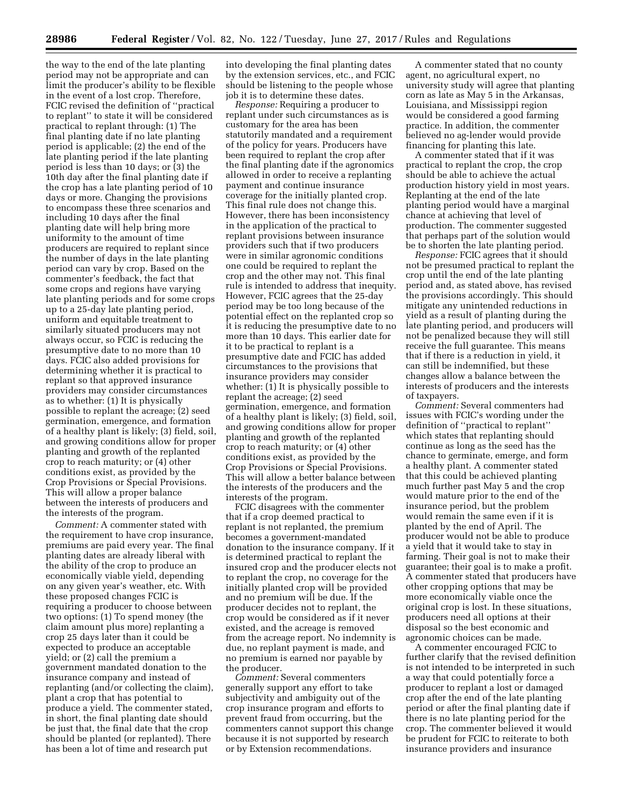the way to the end of the late planting period may not be appropriate and can limit the producer's ability to be flexible in the event of a lost crop. Therefore, FCIC revised the definition of ''practical to replant'' to state it will be considered practical to replant through: (1) The final planting date if no late planting period is applicable; (2) the end of the late planting period if the late planting period is less than 10 days; or (3) the 10th day after the final planting date if the crop has a late planting period of 10 days or more. Changing the provisions to encompass these three scenarios and including 10 days after the final planting date will help bring more uniformity to the amount of time producers are required to replant since the number of days in the late planting period can vary by crop. Based on the commenter's feedback, the fact that some crops and regions have varying late planting periods and for some crops up to a 25-day late planting period, uniform and equitable treatment to similarly situated producers may not always occur, so FCIC is reducing the presumptive date to no more than 10 days. FCIC also added provisions for determining whether it is practical to replant so that approved insurance providers may consider circumstances as to whether: (1) It is physically possible to replant the acreage; (2) seed germination, emergence, and formation of a healthy plant is likely; (3) field, soil, and growing conditions allow for proper planting and growth of the replanted crop to reach maturity; or (4) other conditions exist, as provided by the Crop Provisions or Special Provisions. This will allow a proper balance between the interests of producers and the interests of the program.

*Comment:* A commenter stated with the requirement to have crop insurance, premiums are paid every year. The final planting dates are already liberal with the ability of the crop to produce an economically viable yield, depending on any given year's weather, etc. With these proposed changes FCIC is requiring a producer to choose between two options: (1) To spend money (the claim amount plus more) replanting a crop 25 days later than it could be expected to produce an acceptable yield; or (2) call the premium a government mandated donation to the insurance company and instead of replanting (and/or collecting the claim), plant a crop that has potential to produce a yield. The commenter stated, in short, the final planting date should be just that, the final date that the crop should be planted (or replanted). There has been a lot of time and research put

into developing the final planting dates by the extension services, etc., and FCIC should be listening to the people whose job it is to determine these dates.

*Response:* Requiring a producer to replant under such circumstances as is customary for the area has been statutorily mandated and a requirement of the policy for years. Producers have been required to replant the crop after the final planting date if the agronomics allowed in order to receive a replanting payment and continue insurance coverage for the initially planted crop. This final rule does not change this. However, there has been inconsistency in the application of the practical to replant provisions between insurance providers such that if two producers were in similar agronomic conditions one could be required to replant the crop and the other may not. This final rule is intended to address that inequity. However, FCIC agrees that the 25-day period may be too long because of the potential effect on the replanted crop so it is reducing the presumptive date to no more than 10 days. This earlier date for it to be practical to replant is a presumptive date and FCIC has added circumstances to the provisions that insurance providers may consider whether: (1) It is physically possible to replant the acreage; (2) seed germination, emergence, and formation of a healthy plant is likely; (3) field, soil, and growing conditions allow for proper planting and growth of the replanted crop to reach maturity; or (4) other conditions exist, as provided by the Crop Provisions or Special Provisions. This will allow a better balance between the interests of the producers and the interests of the program.

FCIC disagrees with the commenter that if a crop deemed practical to replant is not replanted, the premium becomes a government-mandated donation to the insurance company. If it is determined practical to replant the insured crop and the producer elects not to replant the crop, no coverage for the initially planted crop will be provided and no premium will be due. If the producer decides not to replant, the crop would be considered as if it never existed, and the acreage is removed from the acreage report. No indemnity is due, no replant payment is made, and no premium is earned nor payable by the producer.

*Comment:* Several commenters generally support any effort to take subjectivity and ambiguity out of the crop insurance program and efforts to prevent fraud from occurring, but the commenters cannot support this change because it is not supported by research or by Extension recommendations.

A commenter stated that no county agent, no agricultural expert, no university study will agree that planting corn as late as May 5 in the Arkansas, Louisiana, and Mississippi region would be considered a good farming practice. In addition, the commenter believed no ag-lender would provide financing for planting this late.

A commenter stated that if it was practical to replant the crop, the crop should be able to achieve the actual production history yield in most years. Replanting at the end of the late planting period would have a marginal chance at achieving that level of production. The commenter suggested that perhaps part of the solution would be to shorten the late planting period.

*Response:* FCIC agrees that it should not be presumed practical to replant the crop until the end of the late planting period and, as stated above, has revised the provisions accordingly. This should mitigate any unintended reductions in yield as a result of planting during the late planting period, and producers will not be penalized because they will still receive the full guarantee. This means that if there is a reduction in yield, it can still be indemnified, but these changes allow a balance between the interests of producers and the interests of taxpayers.

*Comment:* Several commenters had issues with FCIC's wording under the definition of ''practical to replant'' which states that replanting should continue as long as the seed has the chance to germinate, emerge, and form a healthy plant. A commenter stated that this could be achieved planting much further past May 5 and the crop would mature prior to the end of the insurance period, but the problem would remain the same even if it is planted by the end of April. The producer would not be able to produce a yield that it would take to stay in farming. Their goal is not to make their guarantee; their goal is to make a profit. A commenter stated that producers have other cropping options that may be more economically viable once the original crop is lost. In these situations, producers need all options at their disposal so the best economic and agronomic choices can be made.

A commenter encouraged FCIC to further clarify that the revised definition is not intended to be interpreted in such a way that could potentially force a producer to replant a lost or damaged crop after the end of the late planting period or after the final planting date if there is no late planting period for the crop. The commenter believed it would be prudent for FCIC to reiterate to both insurance providers and insurance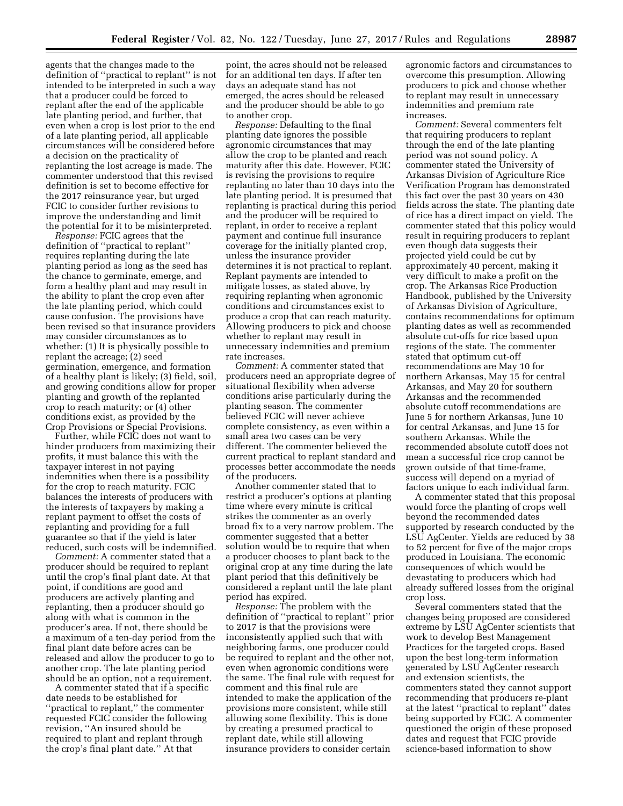agents that the changes made to the definition of ''practical to replant'' is not intended to be interpreted in such a way that a producer could be forced to replant after the end of the applicable late planting period, and further, that even when a crop is lost prior to the end of a late planting period, all applicable circumstances will be considered before a decision on the practicality of replanting the lost acreage is made. The commenter understood that this revised definition is set to become effective for the 2017 reinsurance year, but urged FCIC to consider further revisions to improve the understanding and limit the potential for it to be misinterpreted.

*Response:* FCIC agrees that the definition of ''practical to replant'' requires replanting during the late planting period as long as the seed has the chance to germinate, emerge, and form a healthy plant and may result in the ability to plant the crop even after the late planting period, which could cause confusion. The provisions have been revised so that insurance providers may consider circumstances as to whether: (1) It is physically possible to replant the acreage; (2) seed germination, emergence, and formation of a healthy plant is likely; (3) field, soil, and growing conditions allow for proper planting and growth of the replanted crop to reach maturity; or (4) other conditions exist, as provided by the Crop Provisions or Special Provisions.

Further, while FCIC does not want to hinder producers from maximizing their profits, it must balance this with the taxpayer interest in not paying indemnities when there is a possibility for the crop to reach maturity. FCIC balances the interests of producers with the interests of taxpayers by making a replant payment to offset the costs of replanting and providing for a full guarantee so that if the yield is later reduced, such costs will be indemnified.

*Comment:* A commenter stated that a producer should be required to replant until the crop's final plant date. At that point, if conditions are good and producers are actively planting and replanting, then a producer should go along with what is common in the producer's area. If not, there should be a maximum of a ten-day period from the final plant date before acres can be released and allow the producer to go to another crop. The late planting period should be an option, not a requirement.

A commenter stated that if a specific date needs to be established for ''practical to replant,'' the commenter requested FCIC consider the following revision, ''An insured should be required to plant and replant through the crop's final plant date.'' At that

point, the acres should not be released for an additional ten days. If after ten days an adequate stand has not emerged, the acres should be released and the producer should be able to go to another crop.

*Response:* Defaulting to the final planting date ignores the possible agronomic circumstances that may allow the crop to be planted and reach maturity after this date. However, FCIC is revising the provisions to require replanting no later than 10 days into the late planting period. It is presumed that replanting is practical during this period and the producer will be required to replant, in order to receive a replant payment and continue full insurance coverage for the initially planted crop, unless the insurance provider determines it is not practical to replant. Replant payments are intended to mitigate losses, as stated above, by requiring replanting when agronomic conditions and circumstances exist to produce a crop that can reach maturity. Allowing producers to pick and choose whether to replant may result in unnecessary indemnities and premium rate increases.

*Comment:* A commenter stated that producers need an appropriate degree of situational flexibility when adverse conditions arise particularly during the planting season. The commenter believed FCIC will never achieve complete consistency, as even within a small area two cases can be very different. The commenter believed the current practical to replant standard and processes better accommodate the needs of the producers.

Another commenter stated that to restrict a producer's options at planting time where every minute is critical strikes the commenter as an overly broad fix to a very narrow problem. The commenter suggested that a better solution would be to require that when a producer chooses to plant back to the original crop at any time during the late plant period that this definitively be considered a replant until the late plant period has expired.

*Response:* The problem with the definition of ''practical to replant'' prior to 2017 is that the provisions were inconsistently applied such that with neighboring farms, one producer could be required to replant and the other not, even when agronomic conditions were the same. The final rule with request for comment and this final rule are intended to make the application of the provisions more consistent, while still allowing some flexibility. This is done by creating a presumed practical to replant date, while still allowing insurance providers to consider certain

agronomic factors and circumstances to overcome this presumption. Allowing producers to pick and choose whether to replant may result in unnecessary indemnities and premium rate increases.

*Comment:* Several commenters felt that requiring producers to replant through the end of the late planting period was not sound policy. A commenter stated the University of Arkansas Division of Agriculture Rice Verification Program has demonstrated this fact over the past 30 years on 430 fields across the state. The planting date of rice has a direct impact on yield. The commenter stated that this policy would result in requiring producers to replant even though data suggests their projected yield could be cut by approximately 40 percent, making it very difficult to make a profit on the crop. The Arkansas Rice Production Handbook, published by the University of Arkansas Division of Agriculture, contains recommendations for optimum planting dates as well as recommended absolute cut-offs for rice based upon regions of the state. The commenter stated that optimum cut-off recommendations are May 10 for northern Arkansas, May 15 for central Arkansas, and May 20 for southern Arkansas and the recommended absolute cutoff recommendations are June 5 for northern Arkansas, June 10 for central Arkansas, and June 15 for southern Arkansas. While the recommended absolute cutoff does not mean a successful rice crop cannot be grown outside of that time-frame, success will depend on a myriad of factors unique to each individual farm.

A commenter stated that this proposal would force the planting of crops well beyond the recommended dates supported by research conducted by the LSU AgCenter. Yields are reduced by 38 to 52 percent for five of the major crops produced in Louisiana. The economic consequences of which would be devastating to producers which had already suffered losses from the original crop loss.

Several commenters stated that the changes being proposed are considered extreme by LSU AgCenter scientists that work to develop Best Management Practices for the targeted crops. Based upon the best long-term information generated by LSU AgCenter research and extension scientists, the commenters stated they cannot support recommending that producers re-plant at the latest ''practical to replant'' dates being supported by FCIC. A commenter questioned the origin of these proposed dates and request that FCIC provide science-based information to show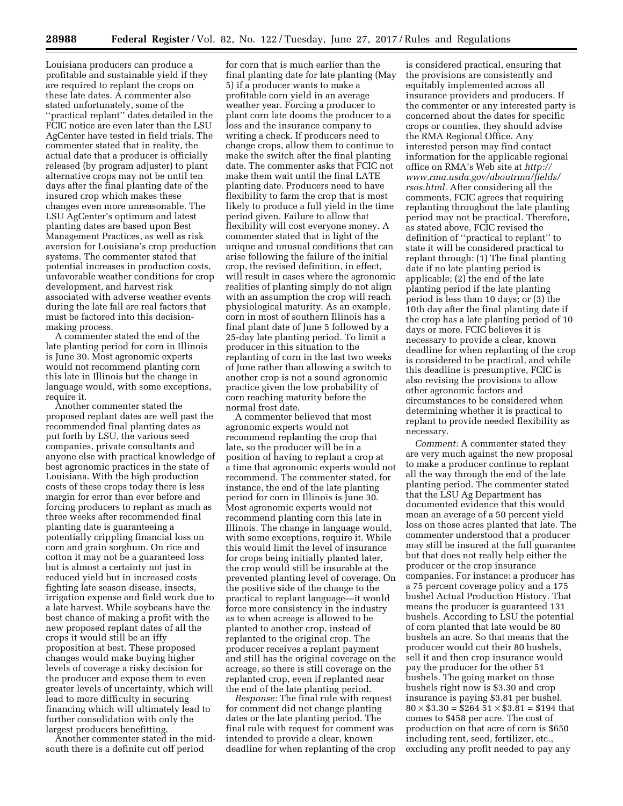Louisiana producers can produce a profitable and sustainable yield if they are required to replant the crops on these late dates. A commenter also stated unfortunately, some of the ''practical replant'' dates detailed in the FCIC notice are even later than the LSU AgCenter have tested in field trials. The commenter stated that in reality, the actual date that a producer is officially released (by program adjuster) to plant alternative crops may not be until ten days after the final planting date of the insured crop which makes these changes even more unreasonable. The LSU AgCenter's optimum and latest planting dates are based upon Best Management Practices, as well as risk aversion for Louisiana's crop production systems. The commenter stated that potential increases in production costs, unfavorable weather conditions for crop development, and harvest risk associated with adverse weather events during the late fall are real factors that must be factored into this decisionmaking process.

A commenter stated the end of the late planting period for corn in Illinois is June 30. Most agronomic experts would not recommend planting corn this late in Illinois but the change in language would, with some exceptions, require it.

Another commenter stated the proposed replant dates are well past the recommended final planting dates as put forth by LSU, the various seed companies, private consultants and anyone else with practical knowledge of best agronomic practices in the state of Louisiana. With the high production costs of these crops today there is less margin for error than ever before and forcing producers to replant as much as three weeks after recommended final planting date is guaranteeing a potentially crippling financial loss on corn and grain sorghum. On rice and cotton it may not be a guaranteed loss but is almost a certainty not just in reduced yield but in increased costs fighting late season disease, insects, irrigation expense and field work due to a late harvest. While soybeans have the best chance of making a profit with the new proposed replant dates of all the crops it would still be an iffy proposition at best. These proposed changes would make buying higher levels of coverage a risky decision for the producer and expose them to even greater levels of uncertainty, which will lead to more difficulty in securing financing which will ultimately lead to further consolidation with only the largest producers benefitting.

Another commenter stated in the midsouth there is a definite cut off period

for corn that is much earlier than the final planting date for late planting (May 5) if a producer wants to make a profitable corn yield in an average weather year. Forcing a producer to plant corn late dooms the producer to a loss and the insurance company to writing a check. If producers need to change crops, allow them to continue to make the switch after the final planting date. The commenter asks that FCIC not make them wait until the final LATE planting date. Producers need to have flexibility to farm the crop that is most likely to produce a full yield in the time period given. Failure to allow that flexibility will cost everyone money. A commenter stated that in light of the unique and unusual conditions that can arise following the failure of the initial crop, the revised definition, in effect, will result in cases where the agronomic realities of planting simply do not align with an assumption the crop will reach physiological maturity. As an example, corn in most of southern Illinois has a final plant date of June 5 followed by a 25-day late planting period. To limit a producer in this situation to the replanting of corn in the last two weeks of June rather than allowing a switch to another crop is not a sound agronomic practice given the low probability of corn reaching maturity before the normal frost date.

A commenter believed that most agronomic experts would not recommend replanting the crop that late, so the producer will be in a position of having to replant a crop at a time that agronomic experts would not recommend. The commenter stated, for instance, the end of the late planting period for corn in Illinois is June 30. Most agronomic experts would not recommend planting corn this late in Illinois. The change in language would, with some exceptions, require it. While this would limit the level of insurance for crops being initially planted later, the crop would still be insurable at the prevented planting level of coverage. On the positive side of the change to the practical to replant language—it would force more consistency in the industry as to when acreage is allowed to be planted to another crop, instead of replanted to the original crop. The producer receives a replant payment and still has the original coverage on the acreage, so there is still coverage on the replanted crop, even if replanted near the end of the late planting period.

*Response:* The final rule with request for comment did not change planting dates or the late planting period. The final rule with request for comment was intended to provide a clear, known deadline for when replanting of the crop

is considered practical, ensuring that the provisions are consistently and equitably implemented across all insurance providers and producers. If the commenter or any interested party is concerned about the dates for specific crops or counties, they should advise the RMA Regional Office. Any interested person may find contact information for the applicable regional office on RMA's Web site at *[http://](http://www.rma.usda.gov/aboutrma/fields/rsos.html) [www.rma.usda.gov/aboutrma/fields/](http://www.rma.usda.gov/aboutrma/fields/rsos.html)  [rsos.html.](http://www.rma.usda.gov/aboutrma/fields/rsos.html)* After considering all the comments, FCIC agrees that requiring replanting throughout the late planting period may not be practical. Therefore, as stated above, FCIC revised the definition of ''practical to replant'' to state it will be considered practical to replant through: (1) The final planting date if no late planting period is applicable; (2) the end of the late planting period if the late planting period is less than 10 days; or (3) the 10th day after the final planting date if the crop has a late planting period of 10 days or more. FCIC believes it is necessary to provide a clear, known deadline for when replanting of the crop is considered to be practical, and while this deadline is presumptive, FCIC is also revising the provisions to allow other agronomic factors and circumstances to be considered when determining whether it is practical to replant to provide needed flexibility as necessary.

*Comment:* A commenter stated they are very much against the new proposal to make a producer continue to replant all the way through the end of the late planting period. The commenter stated that the LSU Ag Department has documented evidence that this would mean an average of a 50 percent yield loss on those acres planted that late. The commenter understood that a producer may still be insured at the full guarantee but that does not really help either the producer or the crop insurance companies. For instance: a producer has a 75 percent coverage policy and a 175 bushel Actual Production History. That means the producer is guaranteed 131 bushels. According to LSU the potential of corn planted that late would be 80 bushels an acre. So that means that the producer would cut their 80 bushels, sell it and then crop insurance would pay the producer for the other 51 bushels. The going market on those bushels right now is \$3.30 and crop insurance is paying \$3.81 per bushel.  $80 \times $3.30 = $264\,51 \times $3.81 = $194$  that comes to \$458 per acre. The cost of production on that acre of corn is \$650 including rent, seed, fertilizer, etc., excluding any profit needed to pay any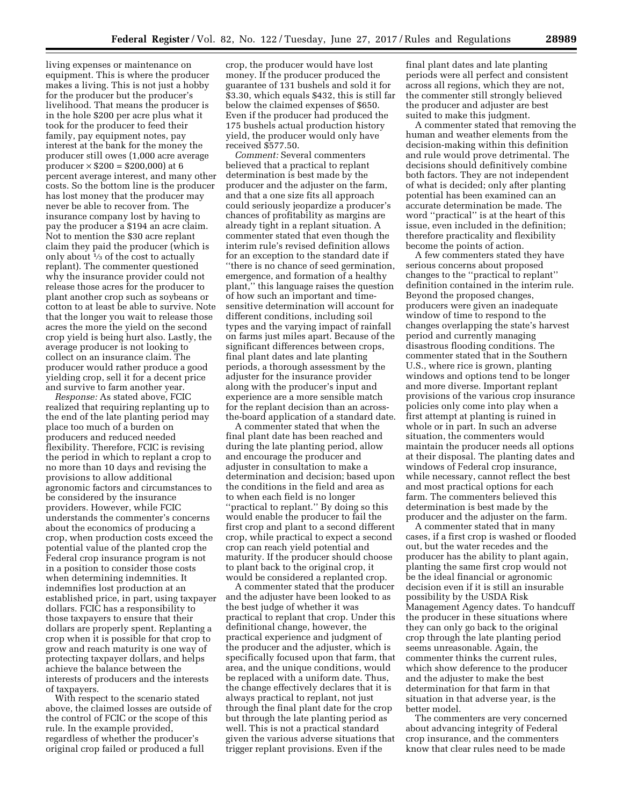living expenses or maintenance on equipment. This is where the producer makes a living. This is not just a hobby for the producer but the producer's livelihood. That means the producer is in the hole \$200 per acre plus what it took for the producer to feed their family, pay equipment notes, pay interest at the bank for the money the producer still owes (1,000 acre average  $product \times $200 = $200,000$  at 6 percent average interest, and many other costs. So the bottom line is the producer has lost money that the producer may never be able to recover from. The insurance company lost by having to pay the producer a \$194 an acre claim. Not to mention the \$30 acre replant claim they paid the producer (which is only about  $\frac{1}{3}$  of the cost to actually replant). The commenter questioned why the insurance provider could not release those acres for the producer to plant another crop such as soybeans or cotton to at least be able to survive. Note that the longer you wait to release those acres the more the yield on the second crop yield is being hurt also. Lastly, the average producer is not looking to collect on an insurance claim. The producer would rather produce a good yielding crop, sell it for a decent price and survive to farm another year.

*Response:* As stated above, FCIC realized that requiring replanting up to the end of the late planting period may place too much of a burden on producers and reduced needed flexibility. Therefore, FCIC is revising the period in which to replant a crop to no more than 10 days and revising the provisions to allow additional agronomic factors and circumstances to be considered by the insurance providers. However, while FCIC understands the commenter's concerns about the economics of producing a crop, when production costs exceed the potential value of the planted crop the Federal crop insurance program is not in a position to consider those costs when determining indemnities. It indemnifies lost production at an established price, in part, using taxpayer dollars. FCIC has a responsibility to those taxpayers to ensure that their dollars are properly spent. Replanting a crop when it is possible for that crop to grow and reach maturity is one way of protecting taxpayer dollars, and helps achieve the balance between the interests of producers and the interests of taxpayers.

With respect to the scenario stated above, the claimed losses are outside of the control of FCIC or the scope of this rule. In the example provided, regardless of whether the producer's original crop failed or produced a full

crop, the producer would have lost money. If the producer produced the guarantee of 131 bushels and sold it for \$3.30, which equals \$432, this is still far below the claimed expenses of \$650. Even if the producer had produced the 175 bushels actual production history yield, the producer would only have received \$577.50.

*Comment:* Several commenters believed that a practical to replant determination is best made by the producer and the adjuster on the farm, and that a one size fits all approach could seriously jeopardize a producer's chances of profitability as margins are already tight in a replant situation. A commenter stated that even though the interim rule's revised definition allows for an exception to the standard date if ''there is no chance of seed germination, emergence, and formation of a healthy plant,'' this language raises the question of how such an important and timesensitive determination will account for different conditions, including soil types and the varying impact of rainfall on farms just miles apart. Because of the significant differences between crops, final plant dates and late planting periods, a thorough assessment by the adjuster for the insurance provider along with the producer's input and experience are a more sensible match for the replant decision than an acrossthe-board application of a standard date.

A commenter stated that when the final plant date has been reached and during the late planting period, allow and encourage the producer and adjuster in consultation to make a determination and decision; based upon the conditions in the field and area as to when each field is no longer ''practical to replant.'' By doing so this would enable the producer to fail the first crop and plant to a second different crop, while practical to expect a second crop can reach yield potential and maturity. If the producer should choose to plant back to the original crop, it would be considered a replanted crop.

A commenter stated that the producer and the adjuster have been looked to as the best judge of whether it was practical to replant that crop. Under this definitional change, however, the practical experience and judgment of the producer and the adjuster, which is specifically focused upon that farm, that area, and the unique conditions, would be replaced with a uniform date. Thus, the change effectively declares that it is always practical to replant, not just through the final plant date for the crop but through the late planting period as well. This is not a practical standard given the various adverse situations that trigger replant provisions. Even if the

final plant dates and late planting periods were all perfect and consistent across all regions, which they are not, the commenter still strongly believed the producer and adjuster are best suited to make this judgment.

A commenter stated that removing the human and weather elements from the decision-making within this definition and rule would prove detrimental. The decisions should definitively combine both factors. They are not independent of what is decided; only after planting potential has been examined can an accurate determination be made. The word ''practical'' is at the heart of this issue, even included in the definition; therefore practicality and flexibility become the points of action.

A few commenters stated they have serious concerns about proposed changes to the ''practical to replant'' definition contained in the interim rule. Beyond the proposed changes, producers were given an inadequate window of time to respond to the changes overlapping the state's harvest period and currently managing disastrous flooding conditions. The commenter stated that in the Southern U.S., where rice is grown, planting windows and options tend to be longer and more diverse. Important replant provisions of the various crop insurance policies only come into play when a first attempt at planting is ruined in whole or in part. In such an adverse situation, the commenters would maintain the producer needs all options at their disposal. The planting dates and windows of Federal crop insurance, while necessary, cannot reflect the best and most practical options for each farm. The commenters believed this determination is best made by the producer and the adjuster on the farm.

A commenter stated that in many cases, if a first crop is washed or flooded out, but the water recedes and the producer has the ability to plant again, planting the same first crop would not be the ideal financial or agronomic decision even if it is still an insurable possibility by the USDA Risk Management Agency dates. To handcuff the producer in these situations where they can only go back to the original crop through the late planting period seems unreasonable. Again, the commenter thinks the current rules, which show deference to the producer and the adjuster to make the best determination for that farm in that situation in that adverse year, is the better model.

The commenters are very concerned about advancing integrity of Federal crop insurance, and the commenters know that clear rules need to be made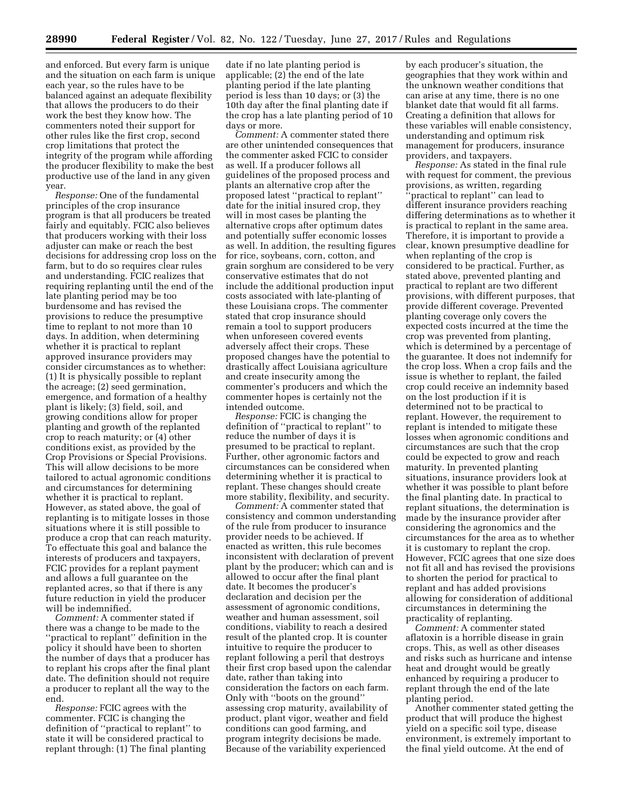and enforced. But every farm is unique and the situation on each farm is unique each year, so the rules have to be balanced against an adequate flexibility that allows the producers to do their work the best they know how. The commenters noted their support for other rules like the first crop, second crop limitations that protect the integrity of the program while affording the producer flexibility to make the best productive use of the land in any given year.

*Response:* One of the fundamental principles of the crop insurance program is that all producers be treated fairly and equitably. FCIC also believes that producers working with their loss adjuster can make or reach the best decisions for addressing crop loss on the farm, but to do so requires clear rules and understanding. FCIC realizes that requiring replanting until the end of the late planting period may be too burdensome and has revised the provisions to reduce the presumptive time to replant to not more than 10 days. In addition, when determining whether it is practical to replant approved insurance providers may consider circumstances as to whether: (1) It is physically possible to replant the acreage; (2) seed germination, emergence, and formation of a healthy plant is likely; (3) field, soil, and growing conditions allow for proper planting and growth of the replanted crop to reach maturity; or (4) other conditions exist, as provided by the Crop Provisions or Special Provisions. This will allow decisions to be more tailored to actual agronomic conditions and circumstances for determining whether it is practical to replant. However, as stated above, the goal of replanting is to mitigate losses in those situations where it is still possible to produce a crop that can reach maturity. To effectuate this goal and balance the interests of producers and taxpayers, FCIC provides for a replant payment and allows a full guarantee on the replanted acres, so that if there is any future reduction in yield the producer will be indemnified.

*Comment:* A commenter stated if there was a change to be made to the ''practical to replant'' definition in the policy it should have been to shorten the number of days that a producer has to replant his crops after the final plant date. The definition should not require a producer to replant all the way to the end.

*Response:* FCIC agrees with the commenter. FCIC is changing the definition of ''practical to replant'' to state it will be considered practical to replant through: (1) The final planting

date if no late planting period is applicable; (2) the end of the late planting period if the late planting period is less than 10 days; or (3) the 10th day after the final planting date if the crop has a late planting period of 10 days or more.

*Comment:* A commenter stated there are other unintended consequences that the commenter asked FCIC to consider as well. If a producer follows all guidelines of the proposed process and plants an alternative crop after the proposed latest ''practical to replant'' date for the initial insured crop, they will in most cases be planting the alternative crops after optimum dates and potentially suffer economic losses as well. In addition, the resulting figures for rice, soybeans, corn, cotton, and grain sorghum are considered to be very conservative estimates that do not include the additional production input costs associated with late-planting of these Louisiana crops. The commenter stated that crop insurance should remain a tool to support producers when unforeseen covered events adversely affect their crops. These proposed changes have the potential to drastically affect Louisiana agriculture and create insecurity among the commenter's producers and which the commenter hopes is certainly not the intended outcome.

*Response:* FCIC is changing the definition of ''practical to replant'' to reduce the number of days it is presumed to be practical to replant. Further, other agronomic factors and circumstances can be considered when determining whether it is practical to replant. These changes should create more stability, flexibility, and security.

*Comment:* A commenter stated that consistency and common understanding of the rule from producer to insurance provider needs to be achieved. If enacted as written, this rule becomes inconsistent with declaration of prevent plant by the producer; which can and is allowed to occur after the final plant date. It becomes the producer's declaration and decision per the assessment of agronomic conditions, weather and human assessment, soil conditions, viability to reach a desired result of the planted crop. It is counter intuitive to require the producer to replant following a peril that destroys their first crop based upon the calendar date, rather than taking into consideration the factors on each farm. Only with ''boots on the ground'' assessing crop maturity, availability of product, plant vigor, weather and field conditions can good farming, and program integrity decisions be made. Because of the variability experienced

by each producer's situation, the geographies that they work within and the unknown weather conditions that can arise at any time, there is no one blanket date that would fit all farms. Creating a definition that allows for these variables will enable consistency, understanding and optimum risk management for producers, insurance providers, and taxpayers.

*Response:* As stated in the final rule with request for comment, the previous provisions, as written, regarding ''practical to replant'' can lead to different insurance providers reaching differing determinations as to whether it is practical to replant in the same area. Therefore, it is important to provide a clear, known presumptive deadline for when replanting of the crop is considered to be practical. Further, as stated above, prevented planting and practical to replant are two different provisions, with different purposes, that provide different coverage. Prevented planting coverage only covers the expected costs incurred at the time the crop was prevented from planting, which is determined by a percentage of the guarantee. It does not indemnify for the crop loss. When a crop fails and the issue is whether to replant, the failed crop could receive an indemnity based on the lost production if it is determined not to be practical to replant. However, the requirement to replant is intended to mitigate these losses when agronomic conditions and circumstances are such that the crop could be expected to grow and reach maturity. In prevented planting situations, insurance providers look at whether it was possible to plant before the final planting date. In practical to replant situations, the determination is made by the insurance provider after considering the agronomics and the circumstances for the area as to whether it is customary to replant the crop. However, FCIC agrees that one size does not fit all and has revised the provisions to shorten the period for practical to replant and has added provisions allowing for consideration of additional circumstances in determining the practicality of replanting.

*Comment:* A commenter stated aflatoxin is a horrible disease in grain crops. This, as well as other diseases and risks such as hurricane and intense heat and drought would be greatly enhanced by requiring a producer to replant through the end of the late planting period.

Another commenter stated getting the product that will produce the highest yield on a specific soil type, disease environment, is extremely important to the final yield outcome. At the end of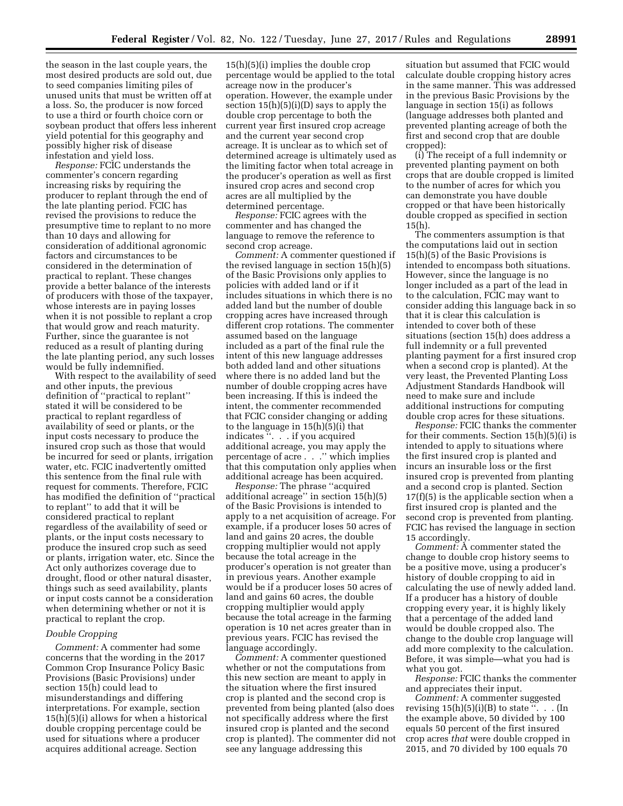the season in the last couple years, the most desired products are sold out, due to seed companies limiting piles of unused units that must be written off at a loss. So, the producer is now forced to use a third or fourth choice corn or soybean product that offers less inherent yield potential for this geography and possibly higher risk of disease infestation and yield loss.

*Response:* FCIC understands the commenter's concern regarding increasing risks by requiring the producer to replant through the end of the late planting period. FCIC has revised the provisions to reduce the presumptive time to replant to no more than 10 days and allowing for consideration of additional agronomic factors and circumstances to be considered in the determination of practical to replant. These changes provide a better balance of the interests of producers with those of the taxpayer, whose interests are in paying losses when it is not possible to replant a crop that would grow and reach maturity. Further, since the guarantee is not reduced as a result of planting during the late planting period, any such losses would be fully indemnified.

With respect to the availability of seed and other inputs, the previous definition of ''practical to replant'' stated it will be considered to be practical to replant regardless of availability of seed or plants, or the input costs necessary to produce the insured crop such as those that would be incurred for seed or plants, irrigation water, etc. FCIC inadvertently omitted this sentence from the final rule with request for comments. Therefore, FCIC has modified the definition of ''practical to replant'' to add that it will be considered practical to replant regardless of the availability of seed or plants, or the input costs necessary to produce the insured crop such as seed or plants, irrigation water, etc. Since the Act only authorizes coverage due to drought, flood or other natural disaster, things such as seed availability, plants or input costs cannot be a consideration when determining whether or not it is practical to replant the crop.

## *Double Cropping*

*Comment:* A commenter had some concerns that the wording in the 2017 Common Crop Insurance Policy Basic Provisions (Basic Provisions) under section 15(h) could lead to misunderstandings and differing interpretations. For example, section 15(h)(5)(i) allows for when a historical double cropping percentage could be used for situations where a producer acquires additional acreage. Section

15(h)(5)(i) implies the double crop percentage would be applied to the total acreage now in the producer's operation. However, the example under section 15(h)(5)(i)(D) says to apply the double crop percentage to both the current year first insured crop acreage and the current year second crop acreage. It is unclear as to which set of determined acreage is ultimately used as the limiting factor when total acreage in the producer's operation as well as first insured crop acres and second crop acres are all multiplied by the determined percentage.

*Response:* FCIC agrees with the commenter and has changed the language to remove the reference to second crop acreage.

*Comment:* A commenter questioned if the revised language in section 15(h)(5) of the Basic Provisions only applies to policies with added land or if it includes situations in which there is no added land but the number of double cropping acres have increased through different crop rotations. The commenter assumed based on the language included as a part of the final rule the intent of this new language addresses both added land and other situations where there is no added land but the number of double cropping acres have been increasing. If this is indeed the intent, the commenter recommended that FCIC consider changing or adding to the language in 15(h)(5)(i) that indicates ''. . . if you acquired additional acreage, you may apply the percentage of acre . . .'' which implies that this computation only applies when additional acreage has been acquired.

*Response:* The phrase ''acquired additional acreage'' in section 15(h)(5) of the Basic Provisions is intended to apply to a net acquisition of acreage. For example, if a producer loses 50 acres of land and gains 20 acres, the double cropping multiplier would not apply because the total acreage in the producer's operation is not greater than in previous years. Another example would be if a producer loses 50 acres of land and gains 60 acres, the double cropping multiplier would apply because the total acreage in the farming operation is 10 net acres greater than in previous years. FCIC has revised the language accordingly.

*Comment:* A commenter questioned whether or not the computations from this new section are meant to apply in the situation where the first insured crop is planted and the second crop is prevented from being planted (also does not specifically address where the first insured crop is planted and the second crop is planted). The commenter did not see any language addressing this

situation but assumed that FCIC would calculate double cropping history acres in the same manner. This was addressed in the previous Basic Provisions by the language in section 15(i) as follows (language addresses both planted and prevented planting acreage of both the first and second crop that are double cropped):

(i) The receipt of a full indemnity or prevented planting payment on both crops that are double cropped is limited to the number of acres for which you can demonstrate you have double cropped or that have been historically double cropped as specified in section  $15(h)$ .

The commenters assumption is that the computations laid out in section 15(h)(5) of the Basic Provisions is intended to encompass both situations. However, since the language is no longer included as a part of the lead in to the calculation, FCIC may want to consider adding this language back in so that it is clear this calculation is intended to cover both of these situations (section 15(h) does address a full indemnity or a full prevented planting payment for a first insured crop when a second crop is planted). At the very least, the Prevented Planting Loss Adjustment Standards Handbook will need to make sure and include additional instructions for computing double crop acres for these situations.

*Response:* FCIC thanks the commenter for their comments. Section 15(h)(5)(i) is intended to apply to situations where the first insured crop is planted and incurs an insurable loss or the first insured crop is prevented from planting and a second crop is planted. Section  $17(f)(5)$  is the applicable section when a first insured crop is planted and the second crop is prevented from planting. FCIC has revised the language in section 15 accordingly.

*Comment:* A commenter stated the change to double crop history seems to be a positive move, using a producer's history of double cropping to aid in calculating the use of newly added land. If a producer has a history of double cropping every year, it is highly likely that a percentage of the added land would be double cropped also. The change to the double crop language will add more complexity to the calculation. Before, it was simple—what you had is what you got.

*Response:* FCIC thanks the commenter and appreciates their input.

*Comment:* A commenter suggested revising  $15(h)(5)(i)(B)$  to state ". . . (In the example above, 50 divided by 100 equals 50 percent of the first insured crop acres *that* were double cropped in 2015, and 70 divided by 100 equals 70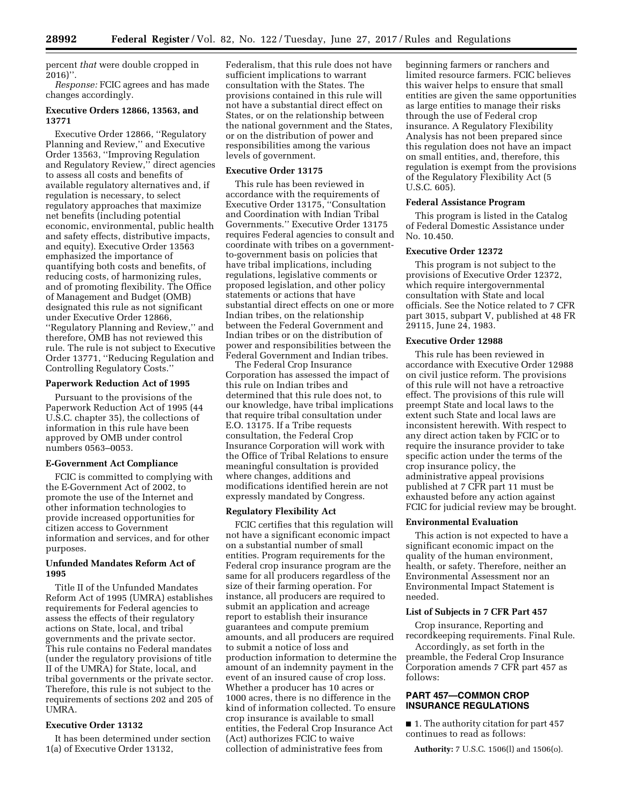percent *that* were double cropped in 2016)''.

*Response:* FCIC agrees and has made changes accordingly.

# **Executive Orders 12866, 13563, and 13771**

Executive Order 12866, ''Regulatory Planning and Review,'' and Executive Order 13563, ''Improving Regulation and Regulatory Review,'' direct agencies to assess all costs and benefits of available regulatory alternatives and, if regulation is necessary, to select regulatory approaches that maximize net benefits (including potential economic, environmental, public health and safety effects, distributive impacts, and equity). Executive Order 13563 emphasized the importance of quantifying both costs and benefits, of reducing costs, of harmonizing rules, and of promoting flexibility. The Office of Management and Budget (OMB) designated this rule as not significant under Executive Order 12866, ''Regulatory Planning and Review,'' and therefore, OMB has not reviewed this rule. The rule is not subject to Executive Order 13771, ''Reducing Regulation and Controlling Regulatory Costs.''

## **Paperwork Reduction Act of 1995**

Pursuant to the provisions of the Paperwork Reduction Act of 1995 (44 U.S.C. chapter 35), the collections of information in this rule have been approved by OMB under control numbers 0563–0053.

#### **E-Government Act Compliance**

FCIC is committed to complying with the E-Government Act of 2002, to promote the use of the Internet and other information technologies to provide increased opportunities for citizen access to Government information and services, and for other purposes.

# **Unfunded Mandates Reform Act of 1995**

Title II of the Unfunded Mandates Reform Act of 1995 (UMRA) establishes requirements for Federal agencies to assess the effects of their regulatory actions on State, local, and tribal governments and the private sector. This rule contains no Federal mandates (under the regulatory provisions of title II of the UMRA) for State, local, and tribal governments or the private sector. Therefore, this rule is not subject to the requirements of sections 202 and 205 of UMRA.

## **Executive Order 13132**

It has been determined under section 1(a) of Executive Order 13132,

Federalism, that this rule does not have sufficient implications to warrant consultation with the States. The provisions contained in this rule will not have a substantial direct effect on States, or on the relationship between the national government and the States, or on the distribution of power and responsibilities among the various levels of government.

#### **Executive Order 13175**

This rule has been reviewed in accordance with the requirements of Executive Order 13175, ''Consultation and Coordination with Indian Tribal Governments.'' Executive Order 13175 requires Federal agencies to consult and coordinate with tribes on a governmentto-government basis on policies that have tribal implications, including regulations, legislative comments or proposed legislation, and other policy statements or actions that have substantial direct effects on one or more Indian tribes, on the relationship between the Federal Government and Indian tribes or on the distribution of power and responsibilities between the Federal Government and Indian tribes.

The Federal Crop Insurance Corporation has assessed the impact of this rule on Indian tribes and determined that this rule does not, to our knowledge, have tribal implications that require tribal consultation under E.O. 13175. If a Tribe requests consultation, the Federal Crop Insurance Corporation will work with the Office of Tribal Relations to ensure meaningful consultation is provided where changes, additions and modifications identified herein are not expressly mandated by Congress.

#### **Regulatory Flexibility Act**

FCIC certifies that this regulation will not have a significant economic impact on a substantial number of small entities. Program requirements for the Federal crop insurance program are the same for all producers regardless of the size of their farming operation. For instance, all producers are required to submit an application and acreage report to establish their insurance guarantees and compute premium amounts, and all producers are required to submit a notice of loss and production information to determine the amount of an indemnity payment in the event of an insured cause of crop loss. Whether a producer has 10 acres or 1000 acres, there is no difference in the kind of information collected. To ensure crop insurance is available to small entities, the Federal Crop Insurance Act (Act) authorizes FCIC to waive collection of administrative fees from

beginning farmers or ranchers and limited resource farmers. FCIC believes this waiver helps to ensure that small entities are given the same opportunities as large entities to manage their risks through the use of Federal crop insurance. A Regulatory Flexibility Analysis has not been prepared since this regulation does not have an impact on small entities, and, therefore, this regulation is exempt from the provisions of the Regulatory Flexibility Act (5 U.S.C. 605).

# **Federal Assistance Program**

This program is listed in the Catalog of Federal Domestic Assistance under No. 10.450.

# **Executive Order 12372**

This program is not subject to the provisions of Executive Order 12372, which require intergovernmental consultation with State and local officials. See the Notice related to 7 CFR part 3015, subpart V, published at 48 FR 29115, June 24, 1983.

## **Executive Order 12988**

This rule has been reviewed in accordance with Executive Order 12988 on civil justice reform. The provisions of this rule will not have a retroactive effect. The provisions of this rule will preempt State and local laws to the extent such State and local laws are inconsistent herewith. With respect to any direct action taken by FCIC or to require the insurance provider to take specific action under the terms of the crop insurance policy, the administrative appeal provisions published at 7 CFR part 11 must be exhausted before any action against FCIC for judicial review may be brought.

#### **Environmental Evaluation**

This action is not expected to have a significant economic impact on the quality of the human environment, health, or safety. Therefore, neither an Environmental Assessment nor an Environmental Impact Statement is needed.

## **List of Subjects in 7 CFR Part 457**

Crop insurance, Reporting and recordkeeping requirements. Final Rule.

Accordingly, as set forth in the preamble, the Federal Crop Insurance Corporation amends 7 CFR part 457 as follows:

# **PART 457—COMMON CROP INSURANCE REGULATIONS**

■ 1. The authority citation for part 457 continues to read as follows:

**Authority:** 7 U.S.C. 1506(l) and 1506(o).